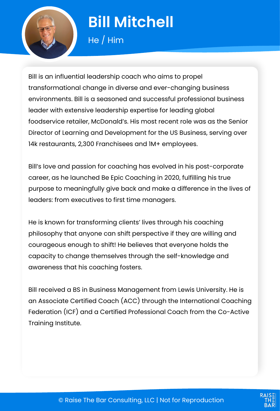

# **Bill Mitchell**

He / Him

Bill is an influential leadership coach who aims to propel transformational change in diverse and ever-changing business environments. Bill is a seasoned and successful professional business leader with extensive leadership expertise for leading global foodservice retailer, McDonald's. His most recent role was as the Senior Director of Learning and Development for the US Business, serving over 14k restaurants, 2,300 Franchisees and 1M+ employees.

Bill's love and passion for coaching has evolved in his post-corporate career, as he launched Be Epic Coaching in 2020, fulfilling his true purpose to meaningfully give back and make a difference in the lives of leaders: from executives to first time managers.

He is known for transforming clients' lives through his coaching philosophy that anyone can shift perspective if they are willing and courageous enough to shift! He believes that everyone holds the capacity to change themselves through the self-knowledge and awareness that his coaching fosters.

Bill received a BS in Business Management from Lewis University. He is an Associate Certified Coach (ACC) through the International Coaching Federation (ICF) and a Certified Professional Coach from the Co-Active Training Institute.